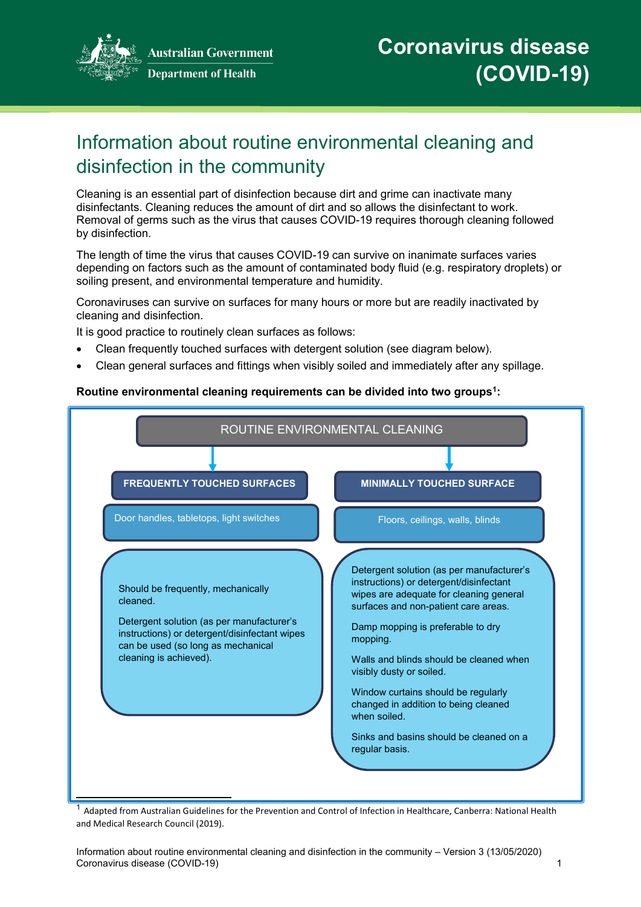

**Australian Government Department of Health** 

# Information about routine environmental cleaning and disinfection in the community

Cleaning is an essential part of disinfection because dirt and grime can inactivate many disinfectants. Cleaning reduces the amount of dirt and so allows the disinfectant to work. Removal of germs such as the virus that causes COVID-19 requires thorough cleaning followed by disinfection.

The length of time the virus that causes COVID-19 can survive on inanimate surfaces varies depending on factors such as the amount of contaminated body fluid (e.g. respiratory droplets) or soiling present, and environmental temperature and humidity.

Coronaviruses can survive on surfaces for many hours or more but are readily inactivated by cleaning and disinfection.

It is good practice to routinely clean surfaces as follows:

- Clean frequently touched surfaces with detergent solution (see diagram below).
- Clean general surfaces and fittings when visibly soiled and immediately after any spillage.

#### **Routine environmental cleaning requirements can be divided into two groups[1:](#page-0-0)**



<span id="page-0-0"></span> $^1$  Adapted from Australian Guidelines for the Prevention and Control of Infection in Healthcare, Canberra: National Health and Medical Research Council (2019).